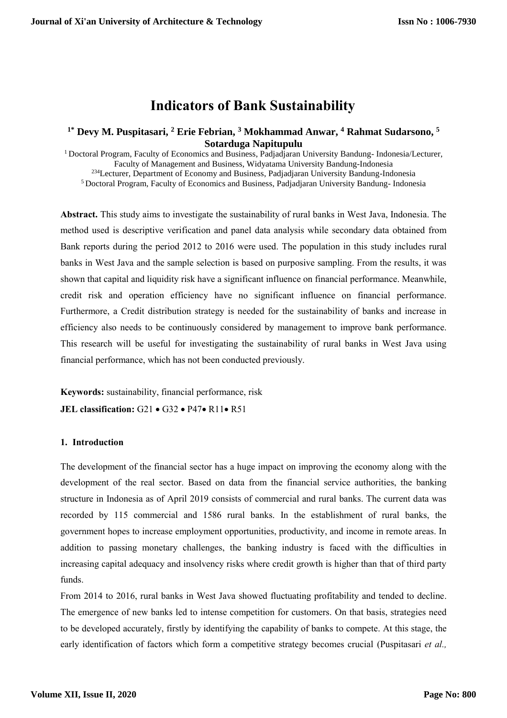# **Indicators of Bank Sustainability**

# **1\* Devy M. Puspitasari, <sup>2</sup> Erie Febrian, <sup>3</sup> Mokhammad Anwar, <sup>4</sup> Rahmat Sudarsono, 5 Sotarduga Napitupulu**

<sup>1</sup> Doctoral Program, Faculty of Economics and Business, Padjadjaran University Bandung- Indonesia/Lecturer, Faculty of Management and Business, Widyatama University Bandung-Indonesia <sup>234</sup>Lecturer, Department of Economy and Business, Padjadjaran University Bandung-Indonesia <sup>5</sup> Doctoral Program, Faculty of Economics and Business, Padjadjaran University Bandung- Indonesia

**Abstract.** This study aims to investigate the sustainability of rural banks in West Java, Indonesia. The method used is descriptive verification and panel data analysis while secondary data obtained from Bank reports during the period 2012 to 2016 were used. The population in this study includes rural banks in West Java and the sample selection is based on purposive sampling. From the results, it was shown that capital and liquidity risk have a significant influence on financial performance. Meanwhile, credit risk and operation efficiency have no significant influence on financial performance. Furthermore, a Credit distribution strategy is needed for the sustainability of banks and increase in efficiency also needs to be continuously considered by management to improve bank performance. This research will be useful for investigating the sustainability of rural banks in West Java using financial performance, which has not been conducted previously.

**Keywords:** sustainability, financial performance, risk **JEL classification:** G21 • G32 • P47• R11• R51

# **1. Introduction**

The development of the financial sector has a huge impact on improving the economy along with the development of the real sector. Based on data from the financial service authorities, the banking structure in Indonesia as of April 2019 consists of commercial and rural banks. The current data was recorded by 115 commercial and 1586 rural banks. In the establishment of rural banks, the government hopes to increase employment opportunities, productivity, and income in remote areas. In addition to passing monetary challenges, the banking industry is faced with the difficulties in increasing capital adequacy and insolvency risks where credit growth is higher than that of third party funds.

From 2014 to 2016, rural banks in West Java showed fluctuating profitability and tended to decline. The emergence of new banks led to intense competition for customers. On that basis, strategies need to be developed accurately, firstly by identifying the capability of banks to compete. At this stage, the early identification of factors which form a competitive strategy becomes crucial (Puspitasari *et al.,*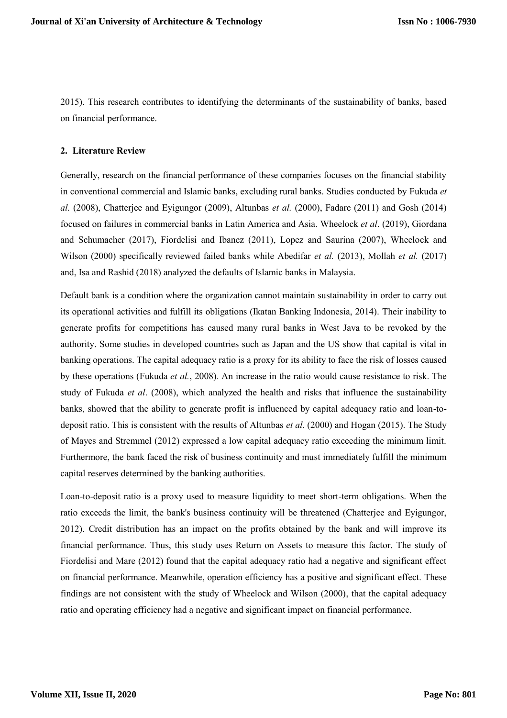2015). This research contributes to identifying the determinants of the sustainability of banks, based on financial performance.

# **2. Literature Review**

Generally, research on the financial performance of these companies focuses on the financial stability in conventional commercial and Islamic banks, excluding rural banks. Studies conducted by Fukuda *et al.* (2008), Chatterjee and Eyigungor (2009), Altunbas *et al.* (2000), Fadare (2011) and Gosh (2014) focused on failures in commercial banks in Latin America and Asia. Wheelock *et al*. (2019), Giordana and Schumacher (2017), Fiordelisi and Ibanez (2011), Lopez and Saurina (2007), Wheelock and Wilson (2000) specifically reviewed failed banks while Abedifar *et al.* (2013), Mollah *et al.* (2017) and, Isa and Rashid (2018) analyzed the defaults of Islamic banks in Malaysia.

Default bank is a condition where the organization cannot maintain sustainability in order to carry out its operational activities and fulfill its obligations (Ikatan Banking Indonesia, 2014). Their inability to generate profits for competitions has caused many rural banks in West Java to be revoked by the authority. Some studies in developed countries such as Japan and the US show that capital is vital in banking operations. The capital adequacy ratio is a proxy for its ability to face the risk of losses caused by these operations (Fukuda *et al.*, 2008). An increase in the ratio would cause resistance to risk. The study of Fukuda *et al*. (2008), which analyzed the health and risks that influence the sustainability banks, showed that the ability to generate profit is influenced by capital adequacy ratio and loan-todeposit ratio. This is consistent with the results of Altunbas *et al*. (2000) and Hogan (2015). The Study of Mayes and Stremmel (2012) expressed a low capital adequacy ratio exceeding the minimum limit. Furthermore, the bank faced the risk of business continuity and must immediately fulfill the minimum capital reserves determined by the banking authorities.

Loan-to-deposit ratio is a proxy used to measure liquidity to meet short-term obligations. When the ratio exceeds the limit, the bank's business continuity will be threatened (Chatterjee and Eyigungor, 2012). Credit distribution has an impact on the profits obtained by the bank and will improve its financial performance. Thus, this study uses Return on Assets to measure this factor. The study of Fiordelisi and Mare (2012) found that the capital adequacy ratio had a negative and significant effect on financial performance. Meanwhile, operation efficiency has a positive and significant effect. These findings are not consistent with the study of Wheelock and Wilson (2000), that the capital adequacy ratio and operating efficiency had a negative and significant impact on financial performance.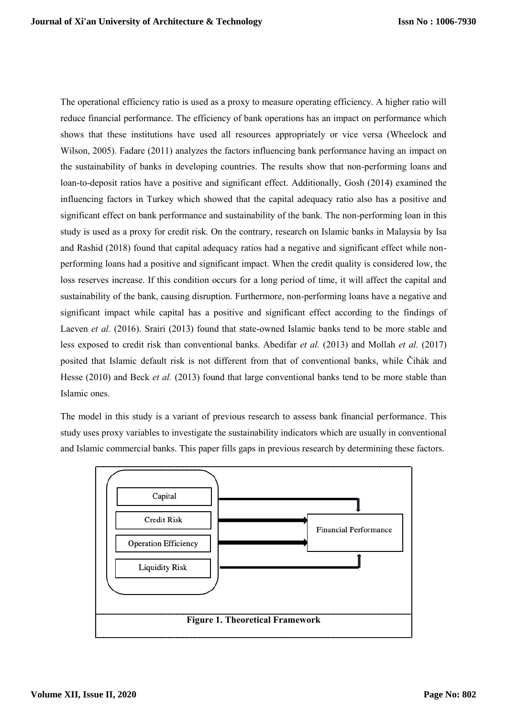The operational efficiency ratio is used as a proxy to measure operating efficiency. A higher ratio will reduce financial performance. The efficiency of bank operations has an impact on performance which shows that these institutions have used all resources appropriately or vice versa (Wheelock and Wilson, 2005). Fadare (2011) analyzes the factors influencing bank performance having an impact on the sustainability of banks in developing countries. The results show that non-performing loans and loan-to-deposit ratios have a positive and significant effect. Additionally, Gosh (2014) examined the influencing factors in Turkey which showed that the capital adequacy ratio also has a positive and significant effect on bank performance and sustainability of the bank. The non-performing loan in this study is used as a proxy for credit risk. On the contrary, research on Islamic banks in Malaysia by Isa and Rashid (2018) found that capital adequacy ratios had a negative and significant effect while nonperforming loans had a positive and significant impact. When the credit quality is considered low, the loss reserves increase. If this condition occurs for a long period of time, it will affect the capital and sustainability of the bank, causing disruption. Furthermore, non-performing loans have a negative and significant impact while capital has a positive and significant effect according to the findings of Laeven *et al.* (2016). Srairi (2013) found that state-owned Islamic banks tend to be more stable and less exposed to credit risk than conventional banks. Abedifar *et al.* (2013) and Mollah *et al.* (2017) posited that Islamic default risk is not different from that of conventional banks, while Čihák and Hesse (2010) and Beck *et al.* (2013) found that large conventional banks tend to be more stable than Islamic ones.

The model in this study is a variant of previous research to assess bank financial performance. This study uses proxy variables to investigate the sustainability indicators which are usually in conventional and Islamic commercial banks. This paper fills gaps in previous research by determining these factors.

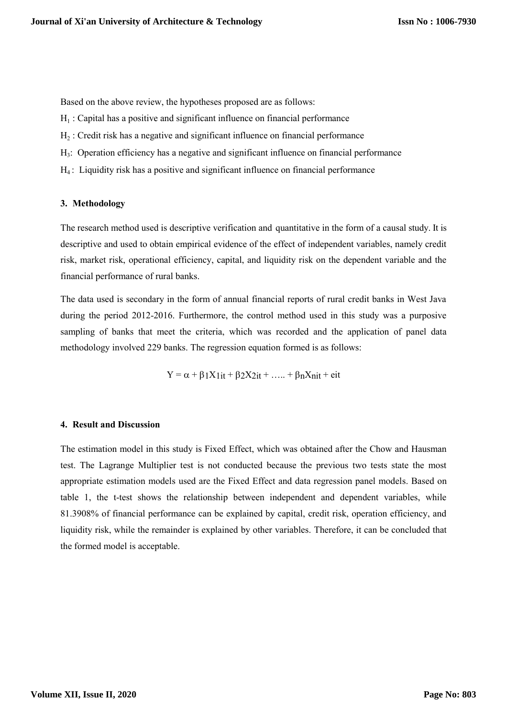Based on the above review, the hypotheses proposed are as follows:

- $H_1$  : Capital has a positive and significant influence on financial performance
- $H_2$ : Credit risk has a negative and significant influence on financial performance
- H3 : Operation efficiency has a negative and significant influence on financial performance
- H4 : Liquidity risk has a positive and significant influence on financial performance

#### **3. Methodology**

The research method used is descriptive verification and quantitative in the form of a causal study. It is descriptive and used to obtain empirical evidence of the effect of independent variables, namely credit risk, market risk, operational efficiency, capital, and liquidity risk on the dependent variable and the financial performance of rural banks.

The data used is secondary in the form of annual financial reports of rural credit banks in West Java during the period 2012-2016. Furthermore, the control method used in this study was a purposive sampling of banks that meet the criteria, which was recorded and the application of panel data methodology involved 229 banks. The regression equation formed is as follows:

 $Y = \alpha + \beta_1 X_1 i t + \beta_2 X_2 i t + \ldots + \beta_n X_n i t + \text{e} i t$ 

### **4. Result and Discussion**

The estimation model in this study is Fixed Effect, which was obtained after the Chow and Hausman test. The Lagrange Multiplier test is not conducted because the previous two tests state the most appropriate estimation models used are the Fixed Effect and data regression panel models. Based on table 1, the t-test shows the relationship between independent and dependent variables, while 81.3908% of financial performance can be explained by capital, credit risk, operation efficiency, and liquidity risk, while the remainder is explained by other variables. Therefore, it can be concluded that the formed model is acceptable.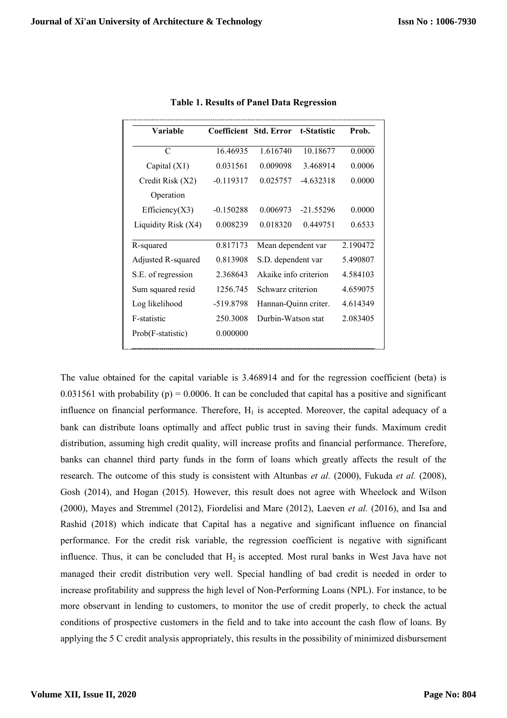| Variable            | Coefficient | <b>Std. Error</b>     | t-Statistic | Prob.    |
|---------------------|-------------|-----------------------|-------------|----------|
| $\mathcal{C}$       | 16.46935    | 1.616740              | 10.18677    | 0.0000   |
| Capital $(X1)$      | 0.031561    | 0.009098              | 3.468914    | 0.0006   |
| Credit Risk (X2)    | $-0.119317$ | 0.025757              | $-4.632318$ | 0.0000   |
| Operation           |             |                       |             |          |
| Efficiency $(X3)$   | $-0.150288$ | 0.006973              | $-21.55296$ | 0.0000   |
| Liquidity Risk (X4) | 0.008239    | 0.018320              | 0.449751    | 0.6533   |
| R-squared           | 0.817173    | Mean dependent var    |             | 2.190472 |
| Adjusted R-squared  | 0.813908    | S.D. dependent var    |             | 5.490807 |
| S.E. of regression  | 2.368643    | Akaike info criterion |             | 4.584103 |
| Sum squared resid   | 1256.745    | Schwarz criterion     |             | 4.659075 |
| Log likelihood      | -519.8798   | Hannan-Quinn criter.  |             | 4.614349 |
| F-statistic         | 250.3008    | Durbin-Watson stat    |             | 2.083405 |
| Prob(F-statistic)   | 0.000000    |                       |             |          |

**Table 1. Results of Panel Data Regression**

The value obtained for the capital variable is 3.468914 and for the regression coefficient (beta) is 0.031561 with probability (p) = 0.0006. It can be concluded that capital has a positive and significant influence on financial performance. Therefore,  $H_1$  is accepted. Moreover, the capital adequacy of a bank can distribute loans optimally and affect public trust in saving their funds. Maximum credit distribution, assuming high credit quality, will increase profits and financial performance. Therefore, banks can channel third party funds in the form of loans which greatly affects the result of the research. The outcome of this study is consistent with Altunbas *et al.* (2000), Fukuda *et al.* (2008), Gosh (2014), and Hogan (2015). However, this result does not agree with Wheelock and Wilson (2000), Mayes and Stremmel (2012), Fiordelisi and Mare (2012), Laeven *et al.* (2016), and Isa and Rashid (2018) which indicate that Capital has a negative and significant influence on financial performance. For the credit risk variable, the regression coefficient is negative with significant influence. Thus, it can be concluded that  $H_2$  is accepted. Most rural banks in West Java have not managed their credit distribution very well. Special handling of bad credit is needed in order to increase profitability and suppress the high level of Non-Performing Loans (NPL). For instance, to be more observant in lending to customers, to monitor the use of credit properly, to check the actual conditions of prospective customers in the field and to take into account the cash flow of loans. By applying the 5 C credit analysis appropriately, this results in the possibility of minimized disbursement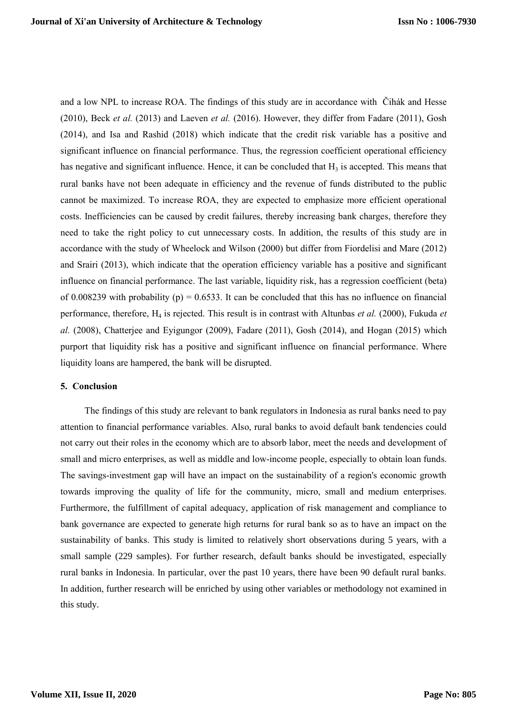and a low NPL to increase ROA. The findings of this study are in accordance with Čihák and Hesse (2010), Beck *et al.* (2013) and Laeven *et al.* (2016). However, they differ from Fadare (2011), Gosh (2014), and Isa and Rashid (2018) which indicate that the credit risk variable has a positive and significant influence on financial performance. Thus, the regression coefficient operational efficiency has negative and significant influence. Hence, it can be concluded that  $H_3$  is accepted. This means that rural banks have not been adequate in efficiency and the revenue of funds distributed to the public cannot be maximized. To increase ROA, they are expected to emphasize more efficient operational costs. Inefficiencies can be caused by credit failures, thereby increasing bank charges, therefore they need to take the right policy to cut unnecessary costs. In addition, the results of this study are in accordance with the study of Wheelock and Wilson (2000) but differ from Fiordelisi and Mare (2012) and Srairi (2013), which indicate that the operation efficiency variable has a positive and significant influence on financial performance. The last variable, liquidity risk, has a regression coefficient (beta) of 0.008239 with probability (p) = 0.6533. It can be concluded that this has no influence on financial performance, therefore, H<sub>4</sub> is rejected. This result is in contrast with Altunbas *et al.* (2000), Fukuda *et al.* (2008), Chatterjee and Eyigungor (2009), Fadare (2011), Gosh (2014), and Hogan (2015) which purport that liquidity risk has a positive and significant influence on financial performance. Where liquidity loans are hampered, the bank will be disrupted.

# **5. Conclusion**

The findings of this study are relevant to bank regulators in Indonesia as rural banks need to pay attention to financial performance variables. Also, rural banks to avoid default bank tendencies could not carry out their roles in the economy which are to absorb labor, meet the needs and development of small and micro enterprises, as well as middle and low-income people, especially to obtain loan funds. The savings-investment gap will have an impact on the sustainability of a region's economic growth towards improving the quality of life for the community, micro, small and medium enterprises. Furthermore, the fulfillment of capital adequacy, application of risk management and compliance to bank governance are expected to generate high returns for rural bank so as to have an impact on the sustainability of banks. This study is limited to relatively short observations during 5 years, with a small sample (229 samples). For further research, default banks should be investigated, especially rural banks in Indonesia. In particular, over the past 10 years, there have been 90 default rural banks. In addition, further research will be enriched by using other variables or methodology not examined in this study.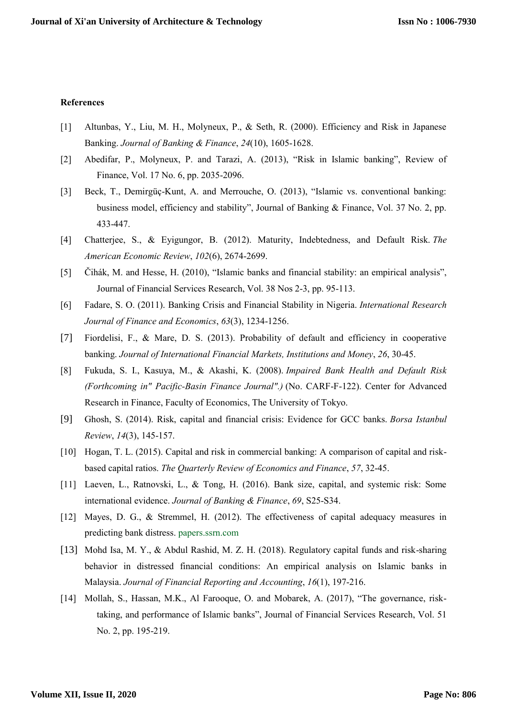#### **References**

- [1] Altunbas, Y., Liu, M. H., Molyneux, P., & Seth, R. (2000). Efficiency and Risk in Japanese Banking. *Journal of Banking & Finance*, *24*(10), 1605-1628.
- [2] Abedifar, P., Molyneux, P. and Tarazi, A. (2013), "Risk in Islamic banking", Review of Finance, Vol. 17 No. 6, pp. 2035-2096.
- [3] Beck, T., Demirgüç-Kunt, A. and Merrouche, O. (2013), "Islamic vs. conventional banking: business model, efficiency and stability", Journal of Banking & Finance, Vol. 37 No. 2, pp. 433-447.
- [4] Chatterjee, S., & Eyigungor, B. (2012). Maturity, Indebtedness, and Default Risk. *The American Economic Review*, *102*(6), 2674-2699.
- [5] Čihák, M. and Hesse, H. (2010), "Islamic banks and financial stability: an empirical analysis", Journal of Financial Services Research, Vol. 38 Nos 2-3, pp. 95-113.
- [6] Fadare, S. O. (2011). Banking Crisis and Financial Stability in Nigeria. *International Research Journal of Finance and Economics*, *63*(3), 1234-1256.
- [7] Fiordelisi, F., & Mare, D. S. (2013). Probability of default and efficiency in cooperative banking. *Journal of International Financial Markets, Institutions and Money*, *26*, 30-45.
- [8] Fukuda, S. I., Kasuya, M., & Akashi, K. (2008). *Impaired Bank Health and Default Risk (Forthcoming in" Pacific-Basin Finance Journal".)* (No. CARF-F-122). Center for Advanced Research in Finance, Faculty of Economics, The University of Tokyo.
- [9] Ghosh, S. (2014). Risk, capital and financial crisis: Evidence for GCC banks. *Borsa Istanbul Review*, *14*(3), 145-157.
- [10] Hogan, T. L. (2015). Capital and risk in commercial banking: A comparison of capital and riskbased capital ratios. *The Quarterly Review of Economics and Finance*, *57*, 32-45.
- [11] Laeven, L., Ratnovski, L., & Tong, H. (2016). Bank size, capital, and systemic risk: Some international evidence. *Journal of Banking & Finance*, *69*, S25-S34.
- [12] Mayes, D. G., & Stremmel, H. (2012). The effectiveness of capital adequacy measures in predicting bank distress. papers.ssrn.com
- [13] Mohd Isa, M. Y., & Abdul Rashid, M. Z. H. (2018). Regulatory capital funds and risk-sharing behavior in distressed financial conditions: An empirical analysis on Islamic banks in Malaysia. *Journal of Financial Reporting and Accounting*, *16*(1), 197-216.
- [14] Mollah, S., Hassan, M.K., Al Farooque, O. and Mobarek, A. (2017), "The governance, risktaking, and performance of Islamic banks", Journal of Financial Services Research, Vol. 51 No. 2, pp. 195-219.